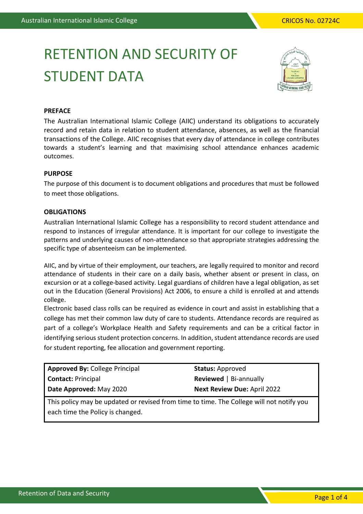# RETENTION AND SECURITY OF STUDENT DATA



## **PREFACE**

The Australian International Islamic College (AIIC) understand its obligations to accurately record and retain data in relation to student attendance, absences, as well as the financial transactions of the College. AIIC recognises that every day of attendance in college contributes towards a student's learning and that maximising school attendance enhances academic outcomes.

## **PURPOSE**

The purpose of this document is to document obligations and procedures that must be followed to meet those obligations.

## **OBLIGATIONS**

Australian International Islamic College has a responsibility to record student attendance and respond to instances of irregular attendance. It is important for our college to investigate the patterns and underlying causes of non-attendance so that appropriate strategies addressing the specific type of absenteeism can be implemented.

AIIC, and by virtue of their employment, our teachers, are legally required to monitor and record attendance of students in their care on a daily basis, whether absent or present in class, on excursion or at a college-based activity. Legal guardians of children have a legal obligation, as set out in the Education (General Provisions) Act 2006, to ensure a child is enrolled at and attends college.

Electronic based class rolls can be required as evidence in court and assist in establishing that a college has met their common law duty of care to students. Attendance records are required as part of a college's Workplace Health and Safety requirements and can be a critical factor in identifying serious student protection concerns. In addition, student attendance records are used for student reporting, fee allocation and government reporting.

| <b>Approved By: College Principal</b> | <b>Status: Approved</b>            |
|---------------------------------------|------------------------------------|
| <b>Contact: Principal</b>             | <b>Reviewed</b>   Bi-annually      |
| Date Approved: May 2020               | <b>Next Review Due: April 2022</b> |
|                                       |                                    |

This policy may be updated or revised from time to time. The College will not notify you each time the Policy is changed.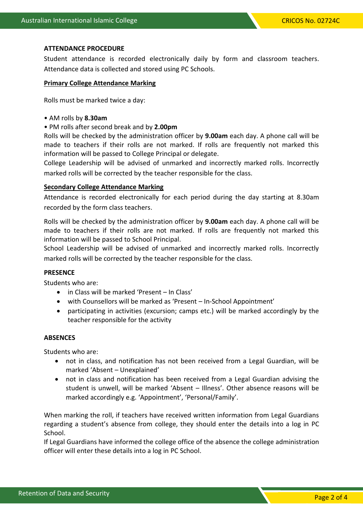## **ATTENDANCE PROCEDURE**

Student attendance is recorded electronically daily by form and classroom teachers. Attendance data is collected and stored using PC Schools.

## **Primary College Attendance Marking**

Rolls must be marked twice a day:

• AM rolls by **8.30am**

#### • PM rolls after second break and by **2.00pm**

Rolls will be checked by the administration officer by **9.00am** each day. A phone call will be made to teachers if their rolls are not marked. If rolls are frequently not marked this information will be passed to College Principal or delegate.

College Leadership will be advised of unmarked and incorrectly marked rolls. Incorrectly marked rolls will be corrected by the teacher responsible for the class.

## **Secondary College Attendance Marking**

Attendance is recorded electronically for each period during the day starting at 8.30am recorded by the form class teachers.

Rolls will be checked by the administration officer by **9.00am** each day. A phone call will be made to teachers if their rolls are not marked. If rolls are frequently not marked this information will be passed to School Principal.

School Leadership will be advised of unmarked and incorrectly marked rolls. Incorrectly marked rolls will be corrected by the teacher responsible for the class.

## **PRESENCE**

Students who are:

- in Class will be marked 'Present In Class'
- with Counsellors will be marked as 'Present In-School Appointment'
- participating in activities (excursion; camps etc.) will be marked accordingly by the teacher responsible for the activity

#### **ABSENCES**

Students who are:

- not in class, and notification has not been received from a Legal Guardian, will be marked 'Absent – Unexplained'
- not in class and notification has been received from a Legal Guardian advising the student is unwell, will be marked 'Absent – Illness'. Other absence reasons will be marked accordingly e.g. 'Appointment', 'Personal/Family'.

When marking the roll, if teachers have received written information from Legal Guardians regarding a student's absence from college, they should enter the details into a log in PC School.

If Legal Guardians have informed the college office of the absence the college administration officer will enter these details into a log in PC School.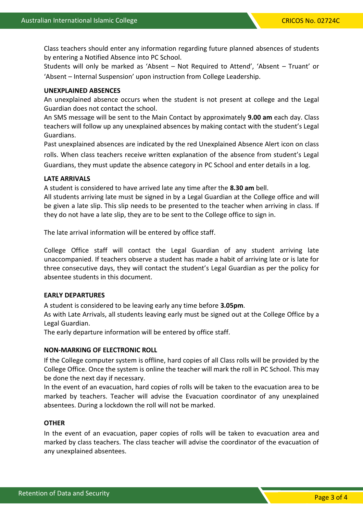Class teachers should enter any information regarding future planned absences of students by entering a Notified Absence into PC School.

Students will only be marked as 'Absent – Not Required to Attend', 'Absent – Truant' or 'Absent – Internal Suspension' upon instruction from College Leadership.

## **UNEXPLAINED ABSENCES**

An unexplained absence occurs when the student is not present at college and the Legal Guardian does not contact the school.

An SMS message will be sent to the Main Contact by approximately **9.00 am** each day. Class teachers will follow up any unexplained absences by making contact with the student's Legal Guardians.

Past unexplained absences are indicated by the red Unexplained Absence Alert icon on class rolls. When class teachers receive written explanation of the absence from student's Legal Guardians, they must update the absence category in PC School and enter details in a log.

## **LATE ARRIVALS**

A student is considered to have arrived late any time after the **8.30 am** bell.

All students arriving late must be signed in by a Legal Guardian at the College office and will be given a late slip. This slip needs to be presented to the teacher when arriving in class. If they do not have a late slip, they are to be sent to the College office to sign in.

The late arrival information will be entered by office staff.

College Office staff will contact the Legal Guardian of any student arriving late unaccompanied. If teachers observe a student has made a habit of arriving late or is late for three consecutive days, they will contact the student's Legal Guardian as per the policy for absentee students in this document.

#### **EARLY DEPARTURES**

A student is considered to be leaving early any time before **3.05pm**.

As with Late Arrivals, all students leaving early must be signed out at the College Office by a Legal Guardian.

The early departure information will be entered by office staff.

## **NON-MARKING OF ELECTRONIC ROLL**

If the College computer system is offline, hard copies of all Class rolls will be provided by the College Office. Once the system is online the teacher will mark the roll in PC School. This may be done the next day if necessary.

In the event of an evacuation, hard copies of rolls will be taken to the evacuation area to be marked by teachers. Teacher will advise the Evacuation coordinator of any unexplained absentees. During a lockdown the roll will not be marked.

#### **OTHER**

In the event of an evacuation, paper copies of rolls will be taken to evacuation area and marked by class teachers. The class teacher will advise the coordinator of the evacuation of any unexplained absentees.